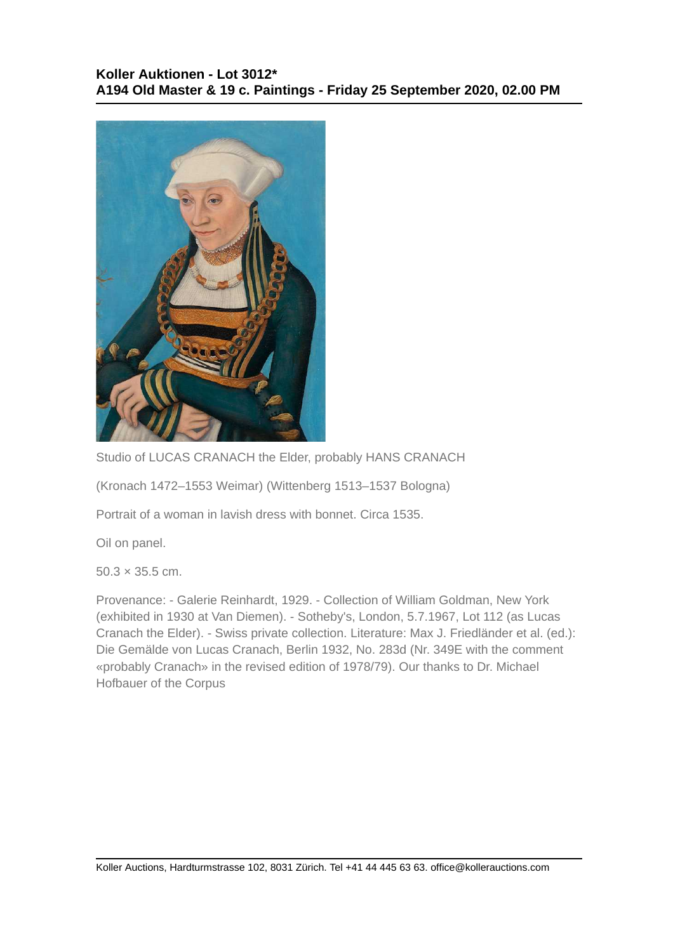

Studio of LUCAS CRANACH the Elder, probably HANS CRANACH

(Kronach 1472–1553 Weimar) (Wittenberg 1513–1537 Bologna)

Portrait of a woman in lavish dress with bonnet. Circa 1535.

Oil on panel.

 $50.3 \times 35.5$  cm.

Provenance: - Galerie Reinhardt, 1929. - Collection of William Goldman, New York (exhibited in 1930 at Van Diemen). - Sotheby's, London, 5.7.1967, Lot 112 (as Lucas Cranach the Elder). - Swiss private collection. Literature: Max J. Friedländer et al. (ed.): Die Gemälde von Lucas Cranach, Berlin 1932, No. 283d (Nr. 349E with the comment «probably Cranach» in the revised edition of 1978/79). Our thanks to Dr. Michael Hofbauer of the Corpus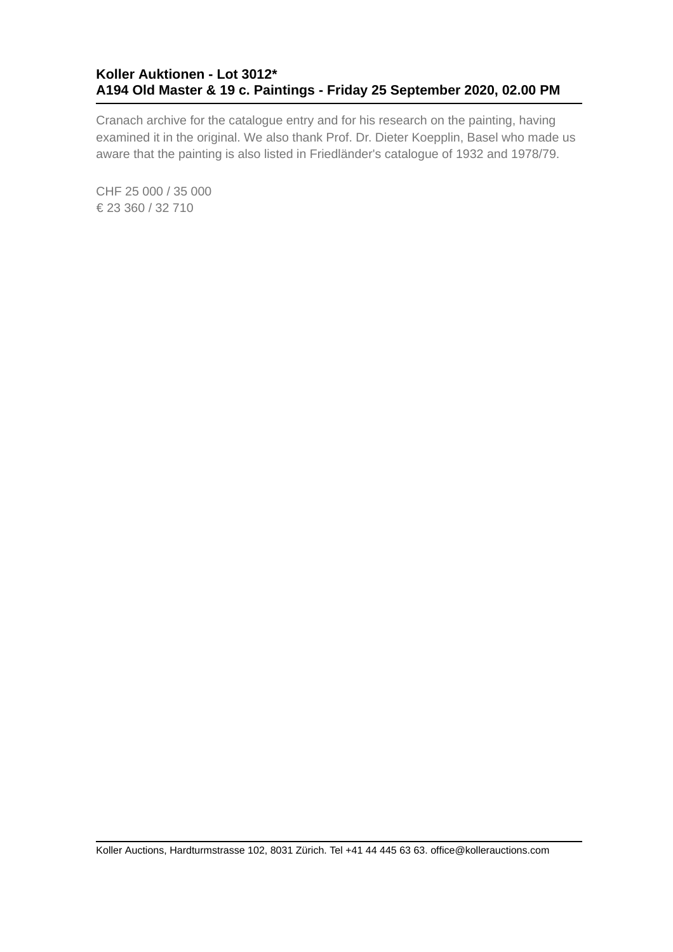## **Koller Auktionen - Lot 3012\* A194 Old Master & 19 c. Paintings - Friday 25 September 2020, 02.00 PM**

Cranach archive for the catalogue entry and for his research on the painting, having examined it in the original. We also thank Prof. Dr. Dieter Koepplin, Basel who made us aware that the painting is also listed in Friedländer's catalogue of 1932 and 1978/79.

CHF 25 000 / 35 000 € 23 360 / 32 710

Koller Auctions, Hardturmstrasse 102, 8031 Zürich. Tel +41 44 445 63 63. office@kollerauctions.com